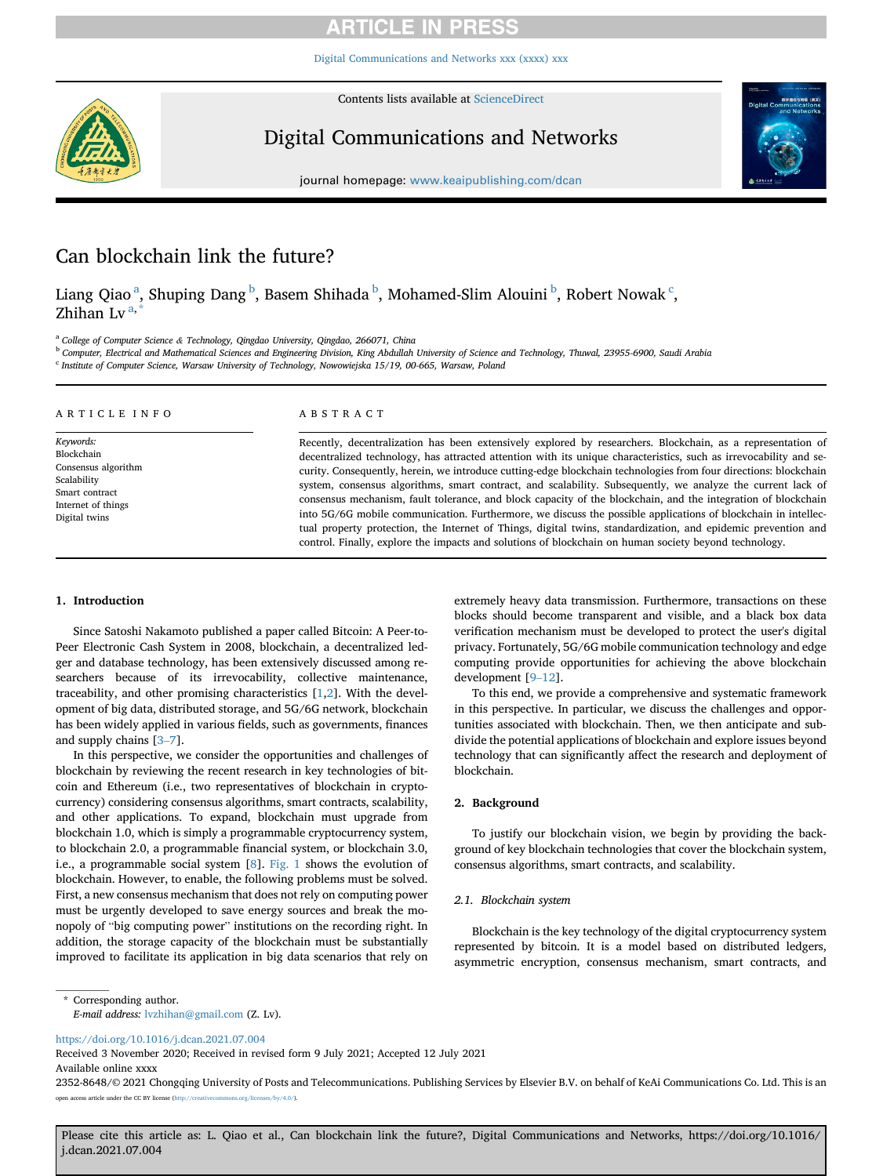[Digital Communications and Networks xxx \(xxxx\) xxx](https://doi.org/10.1016/j.dcan.2021.07.004)

Contents lists available at [ScienceDirect](www.sciencedirect.com/science/journal/23528648)



Digital Communications and Networks



journal homepage: [www.keaipublishing.com/dcan](http://www.keaipublishing.com/dcan)

## Can blockchain link the future?

Li[a](#page-0-0)ng Qiao <sup>a</sup>, Shuping Dang <sup>[b](#page-0-1)</sup>, Basem Shihada <sup>b</sup>, Mohamed-Slim Alouini <sup>b</sup>, Robert Nowak <sup>[c](#page-0-2)</sup>, Zhih[a](#page-0-0)n Lv $a$ ,

<span id="page-0-0"></span><sup>a</sup> College of Computer Science & Technology, Qingdao University, Qingdao, 266071, China

<span id="page-0-1"></span> $^{\rm b}$  Computer, Electrical and Mathematical Sciences and Engineering Division, King Abdullah University of Science and Technology, Thuwal, 23955-6900, Saudi Arabia

<span id="page-0-2"></span><sup>c</sup> Institute of Computer Science, Warsaw University of Technology, Nowowiejska 15/19, 00-665, Warsaw, Poland

| ARTICLE INFO        | ABSTRACT                                                                                                          |  |  |
|---------------------|-------------------------------------------------------------------------------------------------------------------|--|--|
| Keywords:           | Recently, decentralization has been extensively explored by researchers. Blockchain, as a representation of       |  |  |
| Blockchain          | decentralized technology, has attracted attention with its unique characteristics, such as irrevocability and se- |  |  |
| Consensus algorithm | curity. Consequently, herein, we introduce cutting-edge blockchain technologies from four directions: blockchain  |  |  |
| Scalability         |                                                                                                                   |  |  |
| Smart contract      | system, consensus algorithms, smart contract, and scalability. Subsequently, we analyze the current lack of       |  |  |
| Internet of things  | consensus mechanism, fault tolerance, and block capacity of the blockchain, and the integration of blockchain     |  |  |
| Digital twins       | into 5G/6G mobile communication. Furthermore, we discuss the possible applications of blockchain in intellec-     |  |  |
|                     | tual property protection, the Internet of Things, digital twins, standardization, and epidemic prevention and     |  |  |
|                     | control. Finally, explore the impacts and solutions of blockchain on human society beyond technology.             |  |  |

### 1. Introduction

Since Satoshi Nakamoto published a paper called Bitcoin: A Peer-to-Peer Electronic Cash System in 2008, blockchain, a decentralized ledger and database technology, has been extensively discussed among researchers because of its irrevocability, collective maintenance, traceability, and other promising characteristics [[1](#page-5-0)[,2\]](#page-5-1). With the development of big data, distributed storage, and 5G/6G network, blockchain has been widely applied in various fields, such as governments, finances and supply chains [\[3](#page-6-0)–[7\]](#page-6-0).

In this perspective, we consider the opportunities and challenges of blockchain by reviewing the recent research in key technologies of bitcoin and Ethereum (i.e., two representatives of blockchain in cryptocurrency) considering consensus algorithms, smart contracts, scalability, and other applications. To expand, blockchain must upgrade from blockchain 1.0, which is simply a programmable cryptocurrency system, to blockchain 2.0, a programmable financial system, or blockchain 3.0, i.e., a programmable social system [[8](#page-6-1)]. [Fig. 1](#page-1-0) shows the evolution of blockchain. However, to enable, the following problems must be solved. First, a new consensus mechanism that does not rely on computing power must be urgently developed to save energy sources and break the monopoly of "big computing power" institutions on the recording right. In addition, the storage capacity of the blockchain must be substantially improved to facilitate its application in big data scenarios that rely on

extremely heavy data transmission. Furthermore, transactions on these blocks should become transparent and visible, and a black box data verification mechanism must be developed to protect the user's digital privacy. Fortunately, 5G/6G mobile communication technology and edge computing provide opportunities for achieving the above blockchain development [\[9](#page-6-2)–[12\]](#page-6-2).

To this end, we provide a comprehensive and systematic framework in this perspective. In particular, we discuss the challenges and opportunities associated with blockchain. Then, we then anticipate and subdivide the potential applications of blockchain and explore issues beyond technology that can significantly affect the research and deployment of blockchain.

#### 2. Background

To justify our blockchain vision, we begin by providing the background of key blockchain technologies that cover the blockchain system, consensus algorithms, smart contracts, and scalability.

#### 2.1. Blockchain system

Blockchain is the key technology of the digital cryptocurrency system represented by bitcoin. It is a model based on distributed ledgers, asymmetric encryption, consensus mechanism, smart contracts, and

<span id="page-0-3"></span>\* Corresponding author.

<https://doi.org/10.1016/j.dcan.2021.07.004>

Received 3 November 2020; Received in revised form 9 July 2021; Accepted 12 July 2021 Available online xxxx

2352-8648/© 2021 Chongqing University of Posts and Telecommunications. Publishing Services by Elsevier B.V. on behalf of KeAi Communications Co. Ltd. This is an open access article under the CC BY license (<http://creativecommons.org/licenses/by/4.0/>).

Please cite this article as: L. Qiao et al., Can blockchain link the future?, Digital Communications and Networks, https://doi.org/10.1016/ j.dcan.2021.07.004

E-mail address: [lvzhihan@gmail.com](mailto:lvzhihan@gmail.com) (Z. Lv).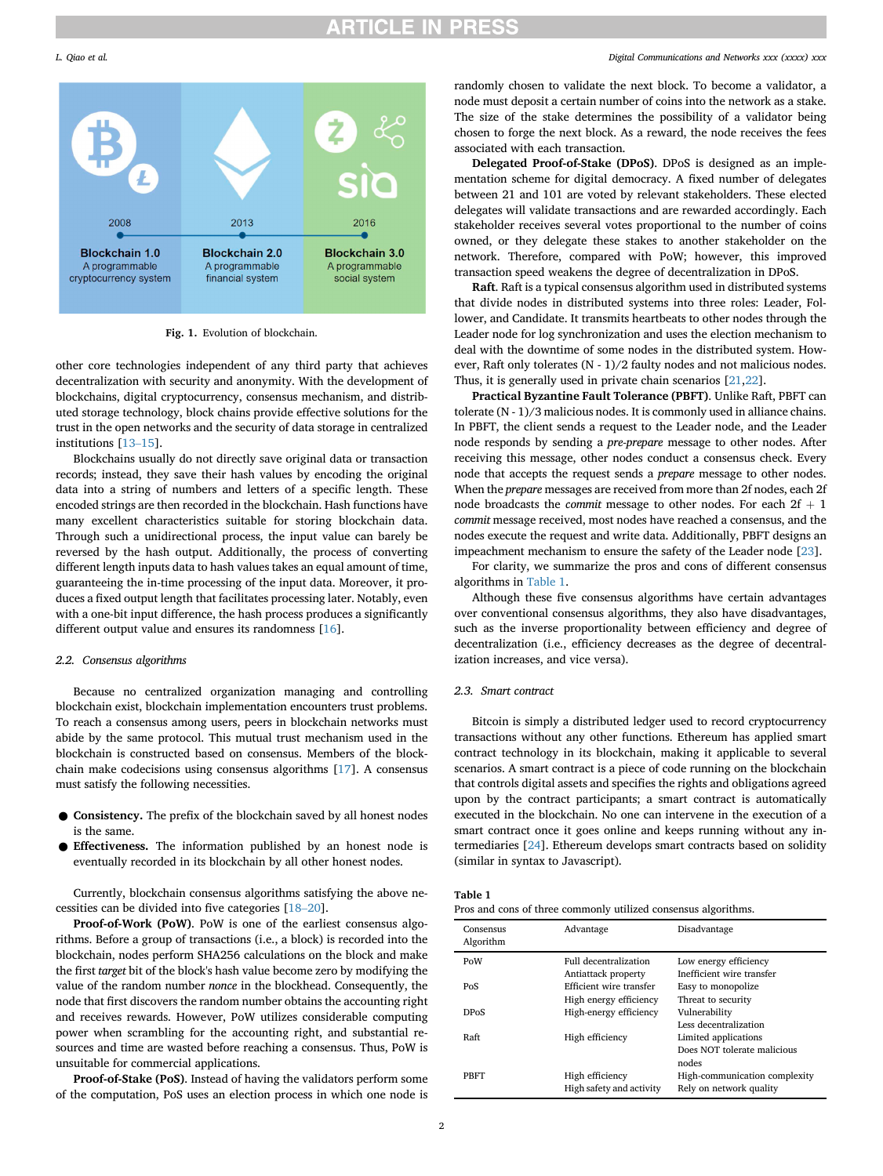

Fig. 1. Evolution of blockchain.

other core technologies independent of any third party that achieves decentralization with security and anonymity. With the development of blockchains, digital cryptocurrency, consensus mechanism, and distributed storage technology, block chains provide effective solutions for the trust in the open networks and the security of data storage in centralized institutions [\[13](#page-6-3)–[15](#page-6-3)].

Blockchains usually do not directly save original data or transaction records; instead, they save their hash values by encoding the original data into a string of numbers and letters of a specific length. These encoded strings are then recorded in the blockchain. Hash functions have many excellent characteristics suitable for storing blockchain data. Through such a unidirectional process, the input value can barely be reversed by the hash output. Additionally, the process of converting different length inputs data to hash values takes an equal amount of time, guaranteeing the in-time processing of the input data. Moreover, it produces a fixed output length that facilitates processing later. Notably, even with a one-bit input difference, the hash process produces a significantly different output value and ensures its randomness [\[16](#page-6-4)].

#### 2.2. Consensus algorithms

Because no centralized organization managing and controlling blockchain exist, blockchain implementation encounters trust problems. To reach a consensus among users, peers in blockchain networks must abide by the same protocol. This mutual trust mechanism used in the blockchain is constructed based on consensus. Members of the blockchain make codecisions using consensus algorithms [[17\]](#page-6-5). A consensus must satisfy the following necessities.

- Consistency. The prefix of the blockchain saved by all honest nodes is the same.
- Effectiveness. The information published by an honest node is eventually recorded in its blockchain by all other honest nodes.

Currently, blockchain consensus algorithms satisfying the above necessities can be divided into five categories [[18](#page-6-6)–[20](#page-6-6)].

Proof-of-Work (PoW). PoW is one of the earliest consensus algorithms. Before a group of transactions (i.e., a block) is recorded into the blockchain, nodes perform SHA256 calculations on the block and make the first target bit of the block's hash value become zero by modifying the value of the random number nonce in the blockhead. Consequently, the node that first discovers the random number obtains the accounting right and receives rewards. However, PoW utilizes considerable computing power when scrambling for the accounting right, and substantial resources and time are wasted before reaching a consensus. Thus, PoW is unsuitable for commercial applications.

Proof-of-Stake (PoS). Instead of having the validators perform some of the computation, PoS uses an election process in which one node is

#### <span id="page-1-0"></span>L. Qiao et al. Digital Communications and Networks xxx (xxxx) xxx

randomly chosen to validate the next block. To become a validator, a node must deposit a certain number of coins into the network as a stake. The size of the stake determines the possibility of a validator being chosen to forge the next block. As a reward, the node receives the fees associated with each transaction.

Delegated Proof-of-Stake (DPoS). DPoS is designed as an implementation scheme for digital democracy. A fixed number of delegates between 21 and 101 are voted by relevant stakeholders. These elected delegates will validate transactions and are rewarded accordingly. Each stakeholder receives several votes proportional to the number of coins owned, or they delegate these stakes to another stakeholder on the network. Therefore, compared with PoW; however, this improved transaction speed weakens the degree of decentralization in DPoS.

Raft. Raft is a typical consensus algorithm used in distributed systems that divide nodes in distributed systems into three roles: Leader, Follower, and Candidate. It transmits heartbeats to other nodes through the Leader node for log synchronization and uses the election mechanism to deal with the downtime of some nodes in the distributed system. However, Raft only tolerates (N - 1)/2 faulty nodes and not malicious nodes. Thus, it is generally used in private chain scenarios [[21,](#page-6-7)[22\]](#page-6-8).

Practical Byzantine Fault Tolerance (PBFT). Unlike Raft, PBFT can tolerate (N - 1)/3 malicious nodes. It is commonly used in alliance chains. In PBFT, the client sends a request to the Leader node, and the Leader node responds by sending a pre-prepare message to other nodes. After receiving this message, other nodes conduct a consensus check. Every node that accepts the request sends a prepare message to other nodes. When the prepare messages are received from more than 2f nodes, each 2f node broadcasts the *commit* message to other nodes. For each  $2f + 1$ commit message received, most nodes have reached a consensus, and the nodes execute the request and write data. Additionally, PBFT designs an impeachment mechanism to ensure the safety of the Leader node [\[23](#page-6-9)].

For clarity, we summarize the pros and cons of different consensus algorithms in [Table 1.](#page-1-1)

Although these five consensus algorithms have certain advantages over conventional consensus algorithms, they also have disadvantages, such as the inverse proportionality between efficiency and degree of decentralization (i.e., efficiency decreases as the degree of decentralization increases, and vice versa).

#### 2.3. Smart contract

Bitcoin is simply a distributed ledger used to record cryptocurrency transactions without any other functions. Ethereum has applied smart contract technology in its blockchain, making it applicable to several scenarios. A smart contract is a piece of code running on the blockchain that controls digital assets and specifies the rights and obligations agreed upon by the contract participants; a smart contract is automatically executed in the blockchain. No one can intervene in the execution of a smart contract once it goes online and keeps running without any intermediaries [[24\]](#page-6-10). Ethereum develops smart contracts based on solidity (similar in syntax to Javascript).

<span id="page-1-1"></span>

| lani<br>œ |  |
|-----------|--|
|-----------|--|

| Pros and cons of three commonly utilized consensus algorithms. |  |  |  |
|----------------------------------------------------------------|--|--|--|
|----------------------------------------------------------------|--|--|--|

| Consensus<br>Algorithm | Advantage                | Disadvantage                  |
|------------------------|--------------------------|-------------------------------|
| PoW                    | Full decentralization    | Low energy efficiency         |
|                        | Antiattack property      | Inefficient wire transfer     |
| PoS                    | Efficient wire transfer  | Easy to monopolize            |
|                        | High energy efficiency   | Threat to security            |
| <b>DPoS</b>            | High-energy efficiency   | Vulnerability                 |
|                        |                          | Less decentralization         |
| Raft                   | High efficiency          | Limited applications          |
|                        |                          | Does NOT tolerate malicious   |
|                        |                          | nodes                         |
| PBFT                   | High efficiency          | High-communication complexity |
|                        | High safety and activity | Rely on network quality       |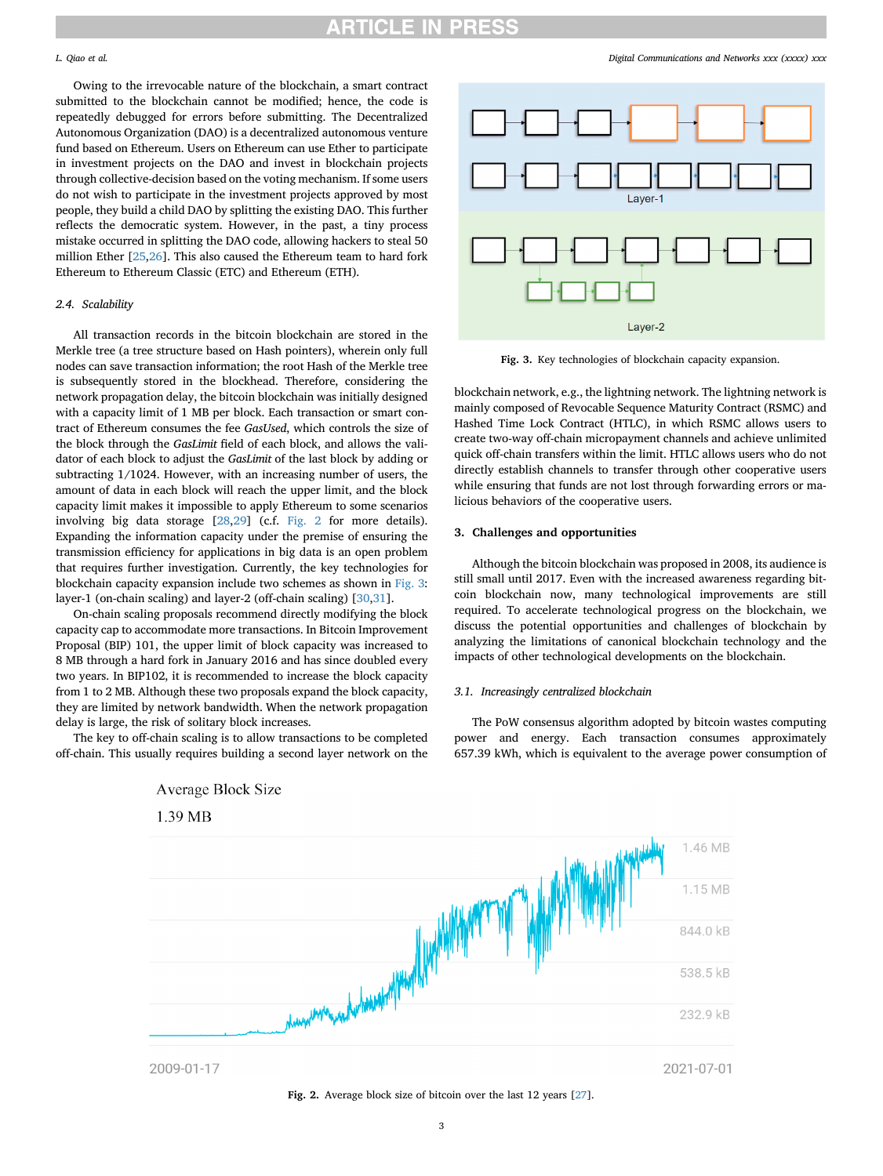Owing to the irrevocable nature of the blockchain, a smart contract submitted to the blockchain cannot be modified; hence, the code is repeatedly debugged for errors before submitting. The Decentralized Autonomous Organization (DAO) is a decentralized autonomous venture fund based on Ethereum. Users on Ethereum can use Ether to participate in investment projects on the DAO and invest in blockchain projects through collective-decision based on the voting mechanism. If some users do not wish to participate in the investment projects approved by most people, they build a child DAO by splitting the existing DAO. This further reflects the democratic system. However, in the past, a tiny process mistake occurred in splitting the DAO code, allowing hackers to steal 50 million Ether [[25](#page-6-11),[26\]](#page-6-12). This also caused the Ethereum team to hard fork Ethereum to Ethereum Classic (ETC) and Ethereum (ETH).

#### 2.4. Scalability

All transaction records in the bitcoin blockchain are stored in the Merkle tree (a tree structure based on Hash pointers), wherein only full nodes can save transaction information; the root Hash of the Merkle tree is subsequently stored in the blockhead. Therefore, considering the network propagation delay, the bitcoin blockchain was initially designed with a capacity limit of 1 MB per block. Each transaction or smart contract of Ethereum consumes the fee GasUsed, which controls the size of the block through the GasLimit field of each block, and allows the validator of each block to adjust the GasLimit of the last block by adding or subtracting 1/1024. However, with an increasing number of users, the amount of data in each block will reach the upper limit, and the block capacity limit makes it impossible to apply Ethereum to some scenarios involving big data storage [\[28](#page-6-13)[,29](#page-6-14)] (c.f. [Fig. 2](#page-2-0) for more details). Expanding the information capacity under the premise of ensuring the transmission efficiency for applications in big data is an open problem that requires further investigation. Currently, the key technologies for blockchain capacity expansion include two schemes as shown in [Fig. 3:](#page-2-1) layer-1 (on-chain scaling) and layer-2 (off-chain scaling) [[30,](#page-6-15)[31\]](#page-6-16).

On-chain scaling proposals recommend directly modifying the block capacity cap to accommodate more transactions. In Bitcoin Improvement Proposal (BIP) 101, the upper limit of block capacity was increased to 8 MB through a hard fork in January 2016 and has since doubled every two years. In BIP102, it is recommended to increase the block capacity from 1 to 2 MB. Although these two proposals expand the block capacity, they are limited by network bandwidth. When the network propagation delay is large, the risk of solitary block increases.

<span id="page-2-0"></span>The key to off-chain scaling is to allow transactions to be completed off-chain. This usually requires building a second layer network on the

<span id="page-2-1"></span>

Fig. 3. Key technologies of blockchain capacity expansion.

blockchain network, e.g., the lightning network. The lightning network is mainly composed of Revocable Sequence Maturity Contract (RSMC) and Hashed Time Lock Contract (HTLC), in which RSMC allows users to create two-way off-chain micropayment channels and achieve unlimited quick off-chain transfers within the limit. HTLC allows users who do not directly establish channels to transfer through other cooperative users while ensuring that funds are not lost through forwarding errors or malicious behaviors of the cooperative users.

#### 3. Challenges and opportunities

Although the bitcoin blockchain was proposed in 2008, its audience is still small until 2017. Even with the increased awareness regarding bitcoin blockchain now, many technological improvements are still required. To accelerate technological progress on the blockchain, we discuss the potential opportunities and challenges of blockchain by analyzing the limitations of canonical blockchain technology and the impacts of other technological developments on the blockchain.

#### 3.1. Increasingly centralized blockchain

The PoW consensus algorithm adopted by bitcoin wastes computing power and energy. Each transaction consumes approximately 657.39 kWh, which is equivalent to the average power consumption of



**Average Block Size** 

Fig. 2. Average block size of bitcoin over the last 12 years [[27](#page-6-17)].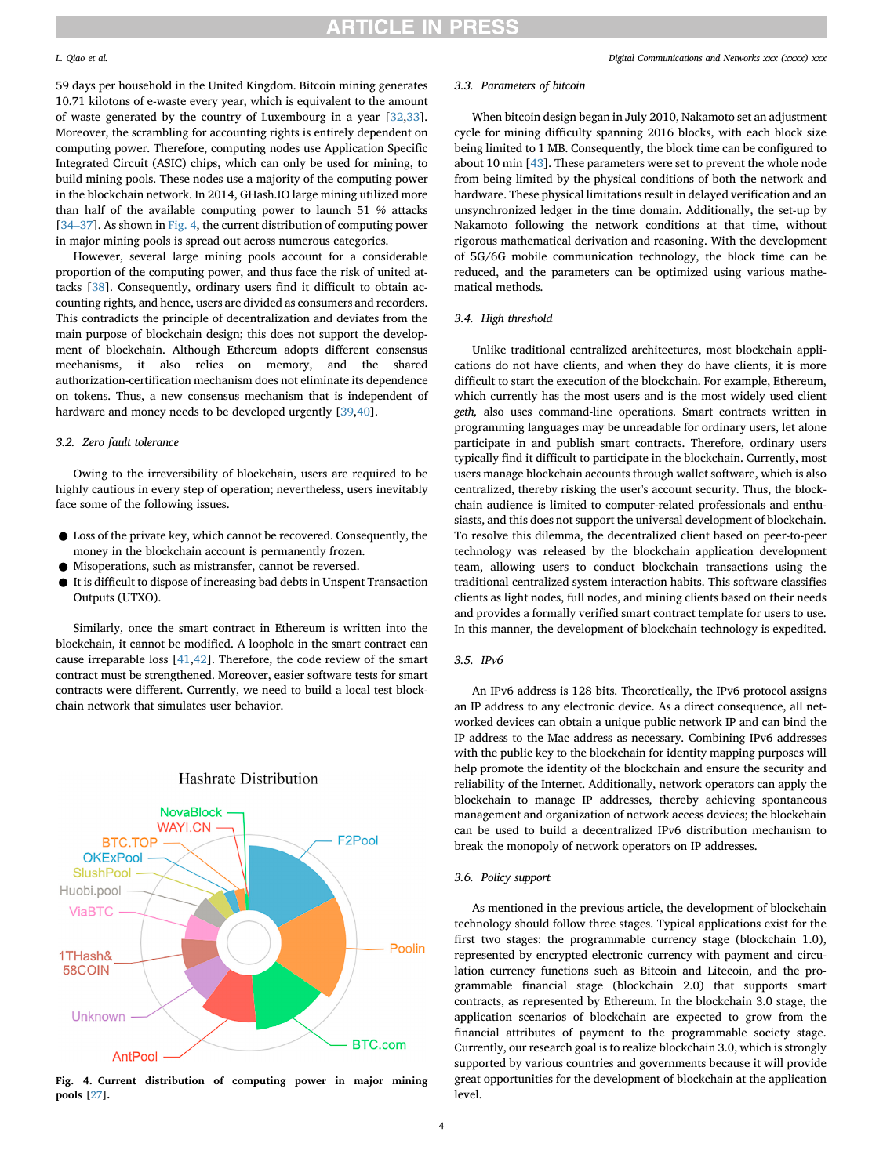59 days per household in the United Kingdom. Bitcoin mining generates 10.71 kilotons of e-waste every year, which is equivalent to the amount of waste generated by the country of Luxembourg in a year [\[32](#page-6-18)[,33](#page-6-19)]. Moreover, the scrambling for accounting rights is entirely dependent on computing power. Therefore, computing nodes use Application Specific Integrated Circuit (ASIC) chips, which can only be used for mining, to build mining pools. These nodes use a majority of the computing power in the blockchain network. In 2014, GHash.IO large mining utilized more than half of the available computing power to launch 51 % attacks [[34](#page-6-20)–[37\]](#page-6-20). As shown in [Fig. 4,](#page-3-0) the current distribution of computing power in major mining pools is spread out across numerous categories.

However, several large mining pools account for a considerable proportion of the computing power, and thus face the risk of united attacks [[38\]](#page-6-21). Consequently, ordinary users find it difficult to obtain accounting rights, and hence, users are divided as consumers and recorders. This contradicts the principle of decentralization and deviates from the main purpose of blockchain design; this does not support the development of blockchain. Although Ethereum adopts different consensus mechanisms, it also relies on memory, and the shared authorization-certification mechanism does not eliminate its dependence on tokens. Thus, a new consensus mechanism that is independent of hardware and money needs to be developed urgently [[39,](#page-6-22)[40\]](#page-6-23).

### 3.2. Zero fault tolerance

Owing to the irreversibility of blockchain, users are required to be highly cautious in every step of operation; nevertheless, users inevitably face some of the following issues.

- Loss of the private key, which cannot be recovered. Consequently, the money in the blockchain account is permanently frozen.
- Misoperations, such as mistransfer, cannot be reversed.
- It is difficult to dispose of increasing bad debts in Unspent Transaction Outputs (UTXO).

Similarly, once the smart contract in Ethereum is written into the blockchain, it cannot be modified. A loophole in the smart contract can cause irreparable loss [[41](#page-6-24),[42\]](#page-6-25). Therefore, the code review of the smart contract must be strengthened. Moreover, easier software tests for smart contracts were different. Currently, we need to build a local test blockchain network that simulates user behavior.

<span id="page-3-0"></span>

### **Hashrate Distribution**

Fig. 4. Current distribution of computing power in major mining pools [\[27](#page-6-17)].

#### 3.3. Parameters of bitcoin

When bitcoin design began in July 2010, Nakamoto set an adjustment cycle for mining difficulty spanning 2016 blocks, with each block size being limited to 1 MB. Consequently, the block time can be configured to about 10 min [[43\]](#page-6-26). These parameters were set to prevent the whole node from being limited by the physical conditions of both the network and hardware. These physical limitations result in delayed verification and an unsynchronized ledger in the time domain. Additionally, the set-up by Nakamoto following the network conditions at that time, without rigorous mathematical derivation and reasoning. With the development of 5G/6G mobile communication technology, the block time can be reduced, and the parameters can be optimized using various mathematical methods.

#### 3.4. High threshold

Unlike traditional centralized architectures, most blockchain applications do not have clients, and when they do have clients, it is more difficult to start the execution of the blockchain. For example, Ethereum, which currently has the most users and is the most widely used client geth, also uses command-line operations. Smart contracts written in programming languages may be unreadable for ordinary users, let alone participate in and publish smart contracts. Therefore, ordinary users typically find it difficult to participate in the blockchain. Currently, most users manage blockchain accounts through wallet software, which is also centralized, thereby risking the user's account security. Thus, the blockchain audience is limited to computer-related professionals and enthusiasts, and this does not support the universal development of blockchain. To resolve this dilemma, the decentralized client based on peer-to-peer technology was released by the blockchain application development team, allowing users to conduct blockchain transactions using the traditional centralized system interaction habits. This software classifies clients as light nodes, full nodes, and mining clients based on their needs and provides a formally verified smart contract template for users to use. In this manner, the development of blockchain technology is expedited.

## 3.5. IPv6

An IPv6 address is 128 bits. Theoretically, the IPv6 protocol assigns an IP address to any electronic device. As a direct consequence, all networked devices can obtain a unique public network IP and can bind the IP address to the Mac address as necessary. Combining IPv6 addresses with the public key to the blockchain for identity mapping purposes will help promote the identity of the blockchain and ensure the security and reliability of the Internet. Additionally, network operators can apply the blockchain to manage IP addresses, thereby achieving spontaneous management and organization of network access devices; the blockchain can be used to build a decentralized IPv6 distribution mechanism to break the monopoly of network operators on IP addresses.

### 3.6. Policy support

As mentioned in the previous article, the development of blockchain technology should follow three stages. Typical applications exist for the first two stages: the programmable currency stage (blockchain 1.0), represented by encrypted electronic currency with payment and circulation currency functions such as Bitcoin and Litecoin, and the programmable financial stage (blockchain 2.0) that supports smart contracts, as represented by Ethereum. In the blockchain 3.0 stage, the application scenarios of blockchain are expected to grow from the financial attributes of payment to the programmable society stage. Currently, our research goal is to realize blockchain 3.0, which is strongly supported by various countries and governments because it will provide great opportunities for the development of blockchain at the application level.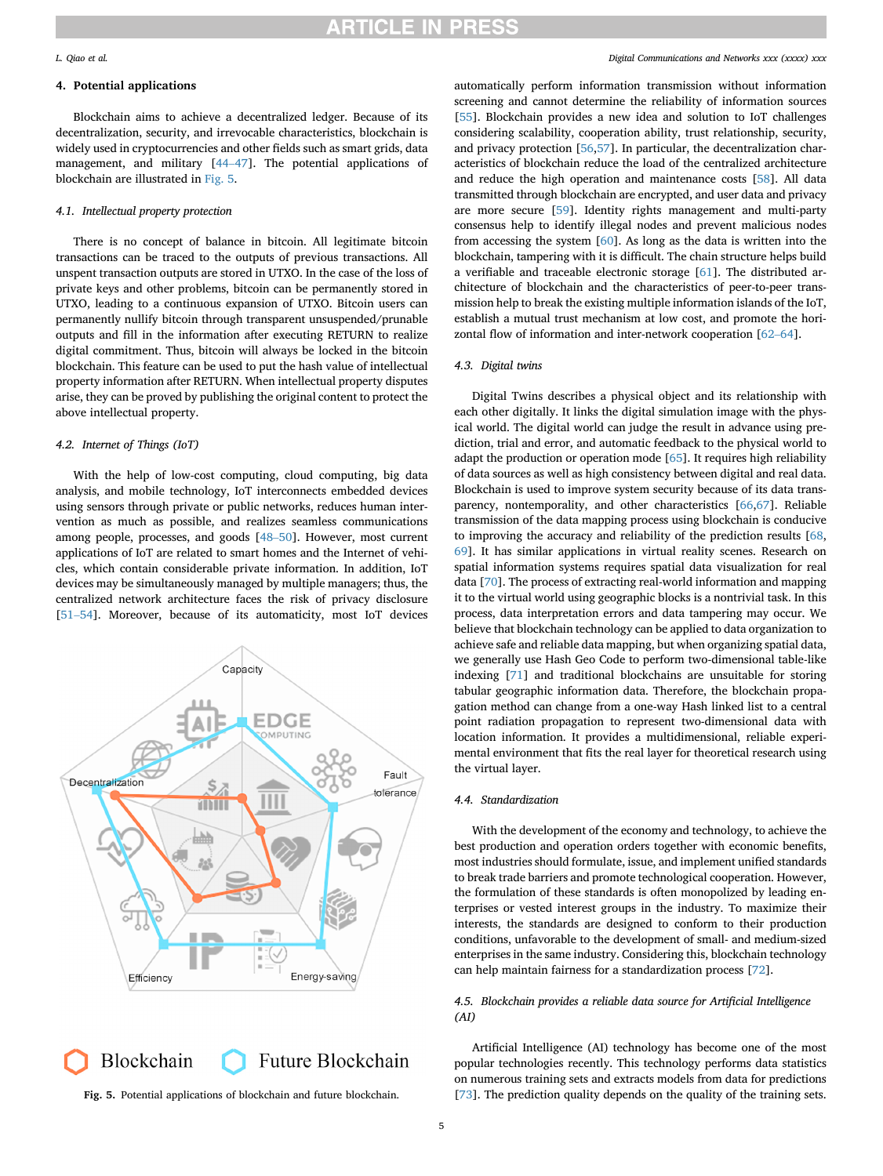## 4. Potential applications

Blockchain aims to achieve a decentralized ledger. Because of its decentralization, security, and irrevocable characteristics, blockchain is widely used in cryptocurrencies and other fields such as smart grids, data management, and military [[44](#page-6-27)–[47](#page-6-27)]. The potential applications of blockchain are illustrated in [Fig. 5](#page-4-0).

#### 4.1. Intellectual property protection

There is no concept of balance in bitcoin. All legitimate bitcoin transactions can be traced to the outputs of previous transactions. All unspent transaction outputs are stored in UTXO. In the case of the loss of private keys and other problems, bitcoin can be permanently stored in UTXO, leading to a continuous expansion of UTXO. Bitcoin users can permanently nullify bitcoin through transparent unsuspended/prunable outputs and fill in the information after executing RETURN to realize digital commitment. Thus, bitcoin will always be locked in the bitcoin blockchain. This feature can be used to put the hash value of intellectual property information after RETURN. When intellectual property disputes arise, they can be proved by publishing the original content to protect the above intellectual property.

#### 4.2. Internet of Things (IoT)

With the help of low-cost computing, cloud computing, big data analysis, and mobile technology, IoT interconnects embedded devices using sensors through private or public networks, reduces human intervention as much as possible, and realizes seamless communications among people, processes, and goods [\[48](#page-6-28)–[50](#page-6-28)]. However, most current applications of IoT are related to smart homes and the Internet of vehicles, which contain considerable private information. In addition, IoT devices may be simultaneously managed by multiple managers; thus, the centralized network architecture faces the risk of privacy disclosure [[51](#page-6-29)–[54\]](#page-6-29). Moreover, because of its automaticity, most IoT devices

<span id="page-4-0"></span>

Blockchain Future Blockchain

#### L. Qiao et al. Digital Communications and Networks xxx (xxxx) xxx

automatically perform information transmission without information screening and cannot determine the reliability of information sources [[55\]](#page-6-30). Blockchain provides a new idea and solution to IoT challenges considering scalability, cooperation ability, trust relationship, security, and privacy protection [[56,](#page-6-31)[57\]](#page-6-32). In particular, the decentralization characteristics of blockchain reduce the load of the centralized architecture and reduce the high operation and maintenance costs [[58\]](#page-6-33). All data transmitted through blockchain are encrypted, and user data and privacy are more secure [\[59](#page-6-34)]. Identity rights management and multi-party consensus help to identify illegal nodes and prevent malicious nodes from accessing the system [\[60](#page-6-35)]. As long as the data is written into the blockchain, tampering with it is difficult. The chain structure helps build a verifiable and traceable electronic storage [\[61](#page-6-36)]. The distributed architecture of blockchain and the characteristics of peer-to-peer transmission help to break the existing multiple information islands of the IoT, establish a mutual trust mechanism at low cost, and promote the horizontal flow of information and inter-network cooperation [[62](#page-6-37)–[64\]](#page-6-37).

#### 4.3. Digital twins

Digital Twins describes a physical object and its relationship with each other digitally. It links the digital simulation image with the physical world. The digital world can judge the result in advance using prediction, trial and error, and automatic feedback to the physical world to adapt the production or operation mode [[65\]](#page-6-38). It requires high reliability of data sources as well as high consistency between digital and real data. Blockchain is used to improve system security because of its data transparency, nontemporality, and other characteristics [\[66](#page-6-39)[,67](#page-6-40)]. Reliable transmission of the data mapping process using blockchain is conducive to improving the accuracy and reliability of the prediction results [[68,](#page-6-41) [69\]](#page-6-42). It has similar applications in virtual reality scenes. Research on spatial information systems requires spatial data visualization for real data [[70\]](#page-6-43). The process of extracting real-world information and mapping it to the virtual world using geographic blocks is a nontrivial task. In this process, data interpretation errors and data tampering may occur. We believe that blockchain technology can be applied to data organization to achieve safe and reliable data mapping, but when organizing spatial data, we generally use Hash Geo Code to perform two-dimensional table-like indexing [\[71](#page-7-0)] and traditional blockchains are unsuitable for storing tabular geographic information data. Therefore, the blockchain propagation method can change from a one-way Hash linked list to a central point radiation propagation to represent two-dimensional data with location information. It provides a multidimensional, reliable experimental environment that fits the real layer for theoretical research using the virtual layer.

#### 4.4. Standardization

With the development of the economy and technology, to achieve the best production and operation orders together with economic benefits, most industries should formulate, issue, and implement unified standards to break trade barriers and promote technological cooperation. However, the formulation of these standards is often monopolized by leading enterprises or vested interest groups in the industry. To maximize their interests, the standards are designed to conform to their production conditions, unfavorable to the development of small- and medium-sized enterprises in the same industry. Considering this, blockchain technology can help maintain fairness for a standardization process [[72](#page-7-1)].

#### 4.5. Blockchain provides a reliable data source for Artificial Intelligence (AI)

Artificial Intelligence (AI) technology has become one of the most popular technologies recently. This technology performs data statistics on numerous training sets and extracts models from data for predictions Fig. 5. Potential applications of blockchain and future blockchain. [[73\]](#page-7-2). The prediction quality depends on the quality of the training sets.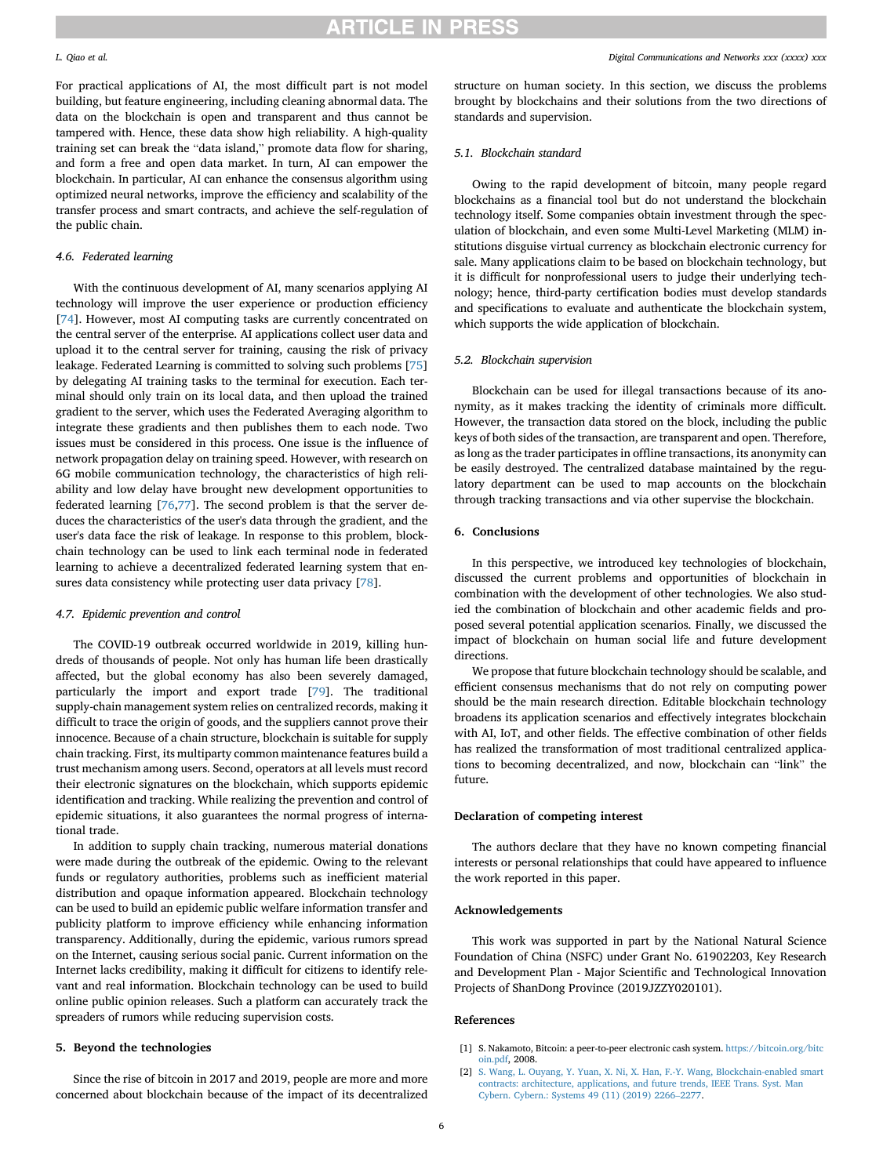For practical applications of AI, the most difficult part is not model building, but feature engineering, including cleaning abnormal data. The data on the blockchain is open and transparent and thus cannot be tampered with. Hence, these data show high reliability. A high-quality training set can break the "data island," promote data flow for sharing, and form a free and open data market. In turn, AI can empower the blockchain. In particular, AI can enhance the consensus algorithm using optimized neural networks, improve the efficiency and scalability of the transfer process and smart contracts, and achieve the self-regulation of the public chain.

#### 4.6. Federated learning

With the continuous development of AI, many scenarios applying AI technology will improve the user experience or production efficiency [[74\]](#page-7-3). However, most AI computing tasks are currently concentrated on the central server of the enterprise. AI applications collect user data and upload it to the central server for training, causing the risk of privacy leakage. Federated Learning is committed to solving such problems [\[75](#page-7-4)] by delegating AI training tasks to the terminal for execution. Each terminal should only train on its local data, and then upload the trained gradient to the server, which uses the Federated Averaging algorithm to integrate these gradients and then publishes them to each node. Two issues must be considered in this process. One issue is the influence of network propagation delay on training speed. However, with research on 6G mobile communication technology, the characteristics of high reliability and low delay have brought new development opportunities to federated learning [[76,](#page-7-5)[77\]](#page-7-6). The second problem is that the server deduces the characteristics of the user's data through the gradient, and the user's data face the risk of leakage. In response to this problem, blockchain technology can be used to link each terminal node in federated learning to achieve a decentralized federated learning system that ensures data consistency while protecting user data privacy [\[78](#page-7-7)].

#### 4.7. Epidemic prevention and control

The COVID-19 outbreak occurred worldwide in 2019, killing hundreds of thousands of people. Not only has human life been drastically affected, but the global economy has also been severely damaged, particularly the import and export trade [[79\]](#page-7-8). The traditional supply-chain management system relies on centralized records, making it difficult to trace the origin of goods, and the suppliers cannot prove their innocence. Because of a chain structure, blockchain is suitable for supply chain tracking. First, its multiparty common maintenance features build a trust mechanism among users. Second, operators at all levels must record their electronic signatures on the blockchain, which supports epidemic identification and tracking. While realizing the prevention and control of epidemic situations, it also guarantees the normal progress of international trade.

In addition to supply chain tracking, numerous material donations were made during the outbreak of the epidemic. Owing to the relevant funds or regulatory authorities, problems such as inefficient material distribution and opaque information appeared. Blockchain technology can be used to build an epidemic public welfare information transfer and publicity platform to improve efficiency while enhancing information transparency. Additionally, during the epidemic, various rumors spread on the Internet, causing serious social panic. Current information on the Internet lacks credibility, making it difficult for citizens to identify relevant and real information. Blockchain technology can be used to build online public opinion releases. Such a platform can accurately track the spreaders of rumors while reducing supervision costs.

### 5. Beyond the technologies

Since the rise of bitcoin in 2017 and 2019, people are more and more concerned about blockchain because of the impact of its decentralized structure on human society. In this section, we discuss the problems brought by blockchains and their solutions from the two directions of standards and supervision.

#### 5.1. Blockchain standard

Owing to the rapid development of bitcoin, many people regard blockchains as a financial tool but do not understand the blockchain technology itself. Some companies obtain investment through the speculation of blockchain, and even some Multi-Level Marketing (MLM) institutions disguise virtual currency as blockchain electronic currency for sale. Many applications claim to be based on blockchain technology, but it is difficult for nonprofessional users to judge their underlying technology; hence, third-party certification bodies must develop standards and specifications to evaluate and authenticate the blockchain system, which supports the wide application of blockchain.

### 5.2. Blockchain supervision

Blockchain can be used for illegal transactions because of its anonymity, as it makes tracking the identity of criminals more difficult. However, the transaction data stored on the block, including the public keys of both sides of the transaction, are transparent and open. Therefore, as long as the trader participates in offline transactions, its anonymity can be easily destroyed. The centralized database maintained by the regulatory department can be used to map accounts on the blockchain through tracking transactions and via other supervise the blockchain.

#### 6. Conclusions

In this perspective, we introduced key technologies of blockchain, discussed the current problems and opportunities of blockchain in combination with the development of other technologies. We also studied the combination of blockchain and other academic fields and proposed several potential application scenarios. Finally, we discussed the impact of blockchain on human social life and future development directions.

We propose that future blockchain technology should be scalable, and efficient consensus mechanisms that do not rely on computing power should be the main research direction. Editable blockchain technology broadens its application scenarios and effectively integrates blockchain with AI, IoT, and other fields. The effective combination of other fields has realized the transformation of most traditional centralized applications to becoming decentralized, and now, blockchain can "link" the future.

#### Declaration of competing interest

The authors declare that they have no known competing financial interests or personal relationships that could have appeared to influence the work reported in this paper.

### Acknowledgements

This work was supported in part by the National Natural Science Foundation of China (NSFC) under Grant No. 61902203, Key Research and Development Plan - Major Scientific and Technological Innovation Projects of ShanDong Province (2019JZZY020101).

### <span id="page-5-0"></span>References

- <span id="page-5-1"></span>[1] S. Nakamoto, Bitcoin: a peer-to-peer electronic cash system. [https://bitcoin.org/bitc](https://bitcoin.org/bitcoin.pdf) [oin.pdf,](https://bitcoin.org/bitcoin.pdf) 2008.
- [2] [S. Wang, L. Ouyang, Y. Yuan, X. Ni, X. Han, F.-Y. Wang, Blockchain-enabled smart](http://refhub.elsevier.com/S2352-8648(21)00045-6/sref2) [contracts: architecture, applications, and future trends, IEEE Trans. Syst. Man](http://refhub.elsevier.com/S2352-8648(21)00045-6/sref2) [Cybern. Cybern.: Systems 49 \(11\) \(2019\) 2266](http://refhub.elsevier.com/S2352-8648(21)00045-6/sref2)–[2277](http://refhub.elsevier.com/S2352-8648(21)00045-6/sref2).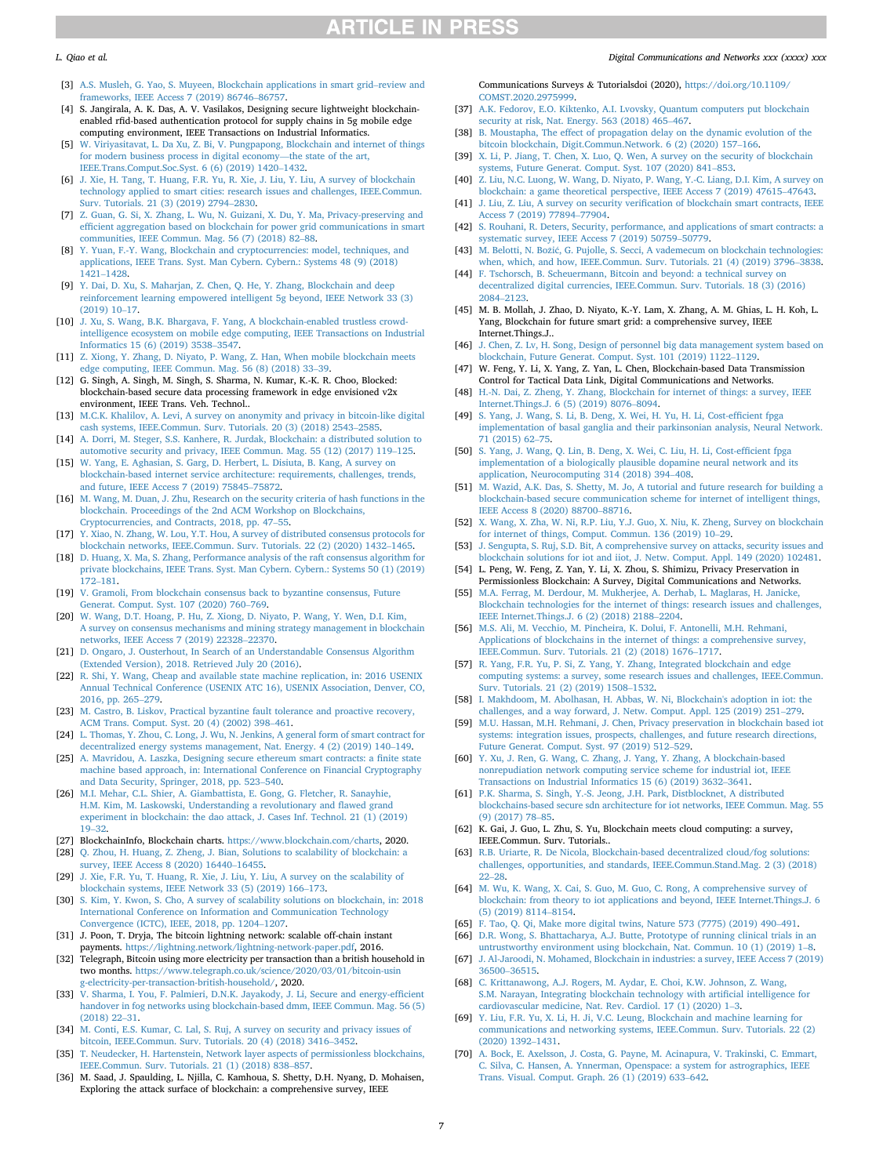- <span id="page-6-0"></span>[3] [A.S. Musleh, G. Yao, S. Muyeen, Blockchain applications in smart grid](http://refhub.elsevier.com/S2352-8648(21)00045-6/sref3)–[review and](http://refhub.elsevier.com/S2352-8648(21)00045-6/sref3) [frameworks, IEEE Access 7 \(2019\) 86746](http://refhub.elsevier.com/S2352-8648(21)00045-6/sref3)–[86757](http://refhub.elsevier.com/S2352-8648(21)00045-6/sref3).
- [4] S. Jangirala, A. K. Das, A. V. Vasilakos, Designing secure lightweight blockchainenabled rfid-based authentication protocol for supply chains in 5g mobile edge computing environment, IEEE Transactions on Industrial Informatics.
- [5] [W. Viriyasitavat, L. Da Xu, Z. Bi, V. Pungpapong, Blockchain and internet of things](http://refhub.elsevier.com/S2352-8648(21)00045-6/sref5) [for modern business process in digital economy](http://refhub.elsevier.com/S2352-8648(21)00045-6/sref5)—[the state of the art,](http://refhub.elsevier.com/S2352-8648(21)00045-6/sref5) [IEEE.Trans.Comput.Soc.Syst. 6 \(6\) \(2019\) 1420](http://refhub.elsevier.com/S2352-8648(21)00045-6/sref5)–[1432.](http://refhub.elsevier.com/S2352-8648(21)00045-6/sref5)
- [6] [J. Xie, H. Tang, T. Huang, F.R. Yu, R. Xie, J. Liu, Y. Liu, A survey of blockchain](http://refhub.elsevier.com/S2352-8648(21)00045-6/sref6) [technology applied to smart cities: research issues and challenges, IEEE.Commun.](http://refhub.elsevier.com/S2352-8648(21)00045-6/sref6) [Surv. Tutorials. 21 \(3\) \(2019\) 2794](http://refhub.elsevier.com/S2352-8648(21)00045-6/sref6)–[2830](http://refhub.elsevier.com/S2352-8648(21)00045-6/sref6).
- [7] [Z. Guan, G. Si, X. Zhang, L. Wu, N. Guizani, X. Du, Y. Ma, Privacy-preserving and](http://refhub.elsevier.com/S2352-8648(21)00045-6/sref7) effi[cient aggregation based on blockchain for power grid communications in smart](http://refhub.elsevier.com/S2352-8648(21)00045-6/sref7) [communities, IEEE Commun. Mag. 56 \(7\) \(2018\) 82](http://refhub.elsevier.com/S2352-8648(21)00045-6/sref7)–[88.](http://refhub.elsevier.com/S2352-8648(21)00045-6/sref7)
- <span id="page-6-1"></span>[8] [Y. Yuan, F.-Y. Wang, Blockchain and cryptocurrencies: model, techniques, and](http://refhub.elsevier.com/S2352-8648(21)00045-6/sref8) [applications, IEEE Trans. Syst. Man Cybern. Cybern.: Systems 48 \(9\) \(2018\)](http://refhub.elsevier.com/S2352-8648(21)00045-6/sref8) [1421](http://refhub.elsevier.com/S2352-8648(21)00045-6/sref8)–[1428.](http://refhub.elsevier.com/S2352-8648(21)00045-6/sref8)
- <span id="page-6-2"></span>[9] [Y. Dai, D. Xu, S. Maharjan, Z. Chen, Q. He, Y. Zhang, Blockchain and deep](http://refhub.elsevier.com/S2352-8648(21)00045-6/sref9) [reinforcement learning empowered intelligent 5g beyond, IEEE Network 33 \(3\)](http://refhub.elsevier.com/S2352-8648(21)00045-6/sref9) [\(2019\) 10](http://refhub.elsevier.com/S2352-8648(21)00045-6/sref9)–[17.](http://refhub.elsevier.com/S2352-8648(21)00045-6/sref9)
- [10] [J. Xu, S. Wang, B.K. Bhargava, F. Yang, A blockchain-enabled trustless crowd](http://refhub.elsevier.com/S2352-8648(21)00045-6/sref10)[intelligence ecosystem on mobile edge computing, IEEE Transactions on Industrial](http://refhub.elsevier.com/S2352-8648(21)00045-6/sref10) [Informatics 15 \(6\) \(2019\) 3538](http://refhub.elsevier.com/S2352-8648(21)00045-6/sref10)–[3547.](http://refhub.elsevier.com/S2352-8648(21)00045-6/sref10)
- [11] [Z. Xiong, Y. Zhang, D. Niyato, P. Wang, Z. Han, When mobile blockchain meets](http://refhub.elsevier.com/S2352-8648(21)00045-6/sref11) [edge computing, IEEE Commun. Mag. 56 \(8\) \(2018\) 33](http://refhub.elsevier.com/S2352-8648(21)00045-6/sref11)–[39](http://refhub.elsevier.com/S2352-8648(21)00045-6/sref11).
- [12] G. Singh, A. Singh, M. Singh, S. Sharma, N. Kumar, K.-K. R. Choo, Blocked: blockchain-based secure data processing framework in edge envisioned v2x environment, IEEE Trans. Veh. Technol..
- <span id="page-6-3"></span>[13] [M.C.K. Khalilov, A. Levi, A survey on anonymity and privacy in bitcoin-like digital](http://refhub.elsevier.com/S2352-8648(21)00045-6/sref13) [cash systems, IEEE.Commun. Surv. Tutorials. 20 \(3\) \(2018\) 2543](http://refhub.elsevier.com/S2352-8648(21)00045-6/sref13)–[2585](http://refhub.elsevier.com/S2352-8648(21)00045-6/sref13).
- [14] [A. Dorri, M. Steger, S.S. Kanhere, R. Jurdak, Blockchain: a distributed solution to](http://refhub.elsevier.com/S2352-8648(21)00045-6/sref14) [automotive security and privacy, IEEE Commun. Mag. 55 \(12\) \(2017\) 119](http://refhub.elsevier.com/S2352-8648(21)00045-6/sref14)–[125.](http://refhub.elsevier.com/S2352-8648(21)00045-6/sref14)
- [15] [W. Yang, E. Aghasian, S. Garg, D. Herbert, L. Disiuta, B. Kang, A survey on](http://refhub.elsevier.com/S2352-8648(21)00045-6/sref15) [blockchain-based internet service architecture: requirements, challenges, trends,](http://refhub.elsevier.com/S2352-8648(21)00045-6/sref15) [and future, IEEE Access 7 \(2019\) 75845](http://refhub.elsevier.com/S2352-8648(21)00045-6/sref15)–[75872](http://refhub.elsevier.com/S2352-8648(21)00045-6/sref15).
- <span id="page-6-4"></span>[16] [M. Wang, M. Duan, J. Zhu, Research on the security criteria of hash functions in the](http://refhub.elsevier.com/S2352-8648(21)00045-6/sref16) [blockchain. Proceedings of the 2nd ACM Workshop on Blockchains,](http://refhub.elsevier.com/S2352-8648(21)00045-6/sref16) [Cryptocurrencies, and Contracts, 2018, pp. 47](http://refhub.elsevier.com/S2352-8648(21)00045-6/sref16)–[55.](http://refhub.elsevier.com/S2352-8648(21)00045-6/sref16)
- <span id="page-6-5"></span>[17] [Y. Xiao, N. Zhang, W. Lou, Y.T. Hou, A survey of distributed consensus protocols for](http://refhub.elsevier.com/S2352-8648(21)00045-6/sref17) [blockchain networks, IEEE.Commun. Surv. Tutorials. 22 \(2\) \(2020\) 1432](http://refhub.elsevier.com/S2352-8648(21)00045-6/sref17)–[1465](http://refhub.elsevier.com/S2352-8648(21)00045-6/sref17).
- <span id="page-6-6"></span>[18] [D. Huang, X. Ma, S. Zhang, Performance analysis of the raft consensus algorithm for](http://refhub.elsevier.com/S2352-8648(21)00045-6/sref18) [private blockchains, IEEE Trans. Syst. Man Cybern. Cybern.: Systems 50 \(1\) \(2019\)](http://refhub.elsevier.com/S2352-8648(21)00045-6/sref18) [172](http://refhub.elsevier.com/S2352-8648(21)00045-6/sref18)–[181.](http://refhub.elsevier.com/S2352-8648(21)00045-6/sref18)
- [19] [V. Gramoli, From blockchain consensus back to byzantine consensus, Future](http://refhub.elsevier.com/S2352-8648(21)00045-6/sref19) [Generat. Comput. Syst. 107 \(2020\) 760](http://refhub.elsevier.com/S2352-8648(21)00045-6/sref19)–[769.](http://refhub.elsevier.com/S2352-8648(21)00045-6/sref19)
- [20] [W. Wang, D.T. Hoang, P. Hu, Z. Xiong, D. Niyato, P. Wang, Y. Wen, D.I. Kim,](http://refhub.elsevier.com/S2352-8648(21)00045-6/sref20) [A survey on consensus mechanisms and mining strategy management in blockchain](http://refhub.elsevier.com/S2352-8648(21)00045-6/sref20) [networks, IEEE Access 7 \(2019\) 22328](http://refhub.elsevier.com/S2352-8648(21)00045-6/sref20)–[22370](http://refhub.elsevier.com/S2352-8648(21)00045-6/sref20).
- <span id="page-6-7"></span>[21] [D. Ongaro, J. Ousterhout, In Search of an Understandable Consensus Algorithm](http://refhub.elsevier.com/S2352-8648(21)00045-6/sref21) [\(Extended Version\), 2018. Retrieved July 20 \(2016\).](http://refhub.elsevier.com/S2352-8648(21)00045-6/sref21)
- <span id="page-6-8"></span>[22] [R. Shi, Y. Wang, Cheap and available state machine replication, in: 2016 USENIX](http://refhub.elsevier.com/S2352-8648(21)00045-6/sref22) [Annual Technical Conference \(USENIX ATC 16\), USENIX Association, Denver, CO,](http://refhub.elsevier.com/S2352-8648(21)00045-6/sref22) [2016, pp. 265](http://refhub.elsevier.com/S2352-8648(21)00045-6/sref22)–[279.](http://refhub.elsevier.com/S2352-8648(21)00045-6/sref22)
- <span id="page-6-9"></span>[23] [M. Castro, B. Liskov, Practical byzantine fault tolerance and proactive recovery,](http://refhub.elsevier.com/S2352-8648(21)00045-6/sref23) [ACM Trans. Comput. Syst. 20 \(4\) \(2002\) 398](http://refhub.elsevier.com/S2352-8648(21)00045-6/sref23)–[461](http://refhub.elsevier.com/S2352-8648(21)00045-6/sref23).
- <span id="page-6-10"></span>[24] [L. Thomas, Y. Zhou, C. Long, J. Wu, N. Jenkins, A general form of smart contract for](http://refhub.elsevier.com/S2352-8648(21)00045-6/sref24) [decentralized energy systems management, Nat. Energy. 4 \(2\) \(2019\) 140](http://refhub.elsevier.com/S2352-8648(21)00045-6/sref24)–[149.](http://refhub.elsevier.com/S2352-8648(21)00045-6/sref24)
- <span id="page-6-11"></span>[25] [A. Mavridou, A. Laszka, Designing secure ethereum smart contracts: a](http://refhub.elsevier.com/S2352-8648(21)00045-6/sref25) finite state [machine based approach, in: International Conference on Financial Cryptography](http://refhub.elsevier.com/S2352-8648(21)00045-6/sref25) [and Data Security, Springer, 2018, pp. 523](http://refhub.elsevier.com/S2352-8648(21)00045-6/sref25)–[540.](http://refhub.elsevier.com/S2352-8648(21)00045-6/sref25)
- <span id="page-6-12"></span>[26] [M.I. Mehar, C.L. Shier, A. Giambattista, E. Gong, G. Fletcher, R. Sanayhie,](http://refhub.elsevier.com/S2352-8648(21)00045-6/sref26) [H.M. Kim, M. Laskowski, Understanding a revolutionary and](http://refhub.elsevier.com/S2352-8648(21)00045-6/sref26) flawed grand [experiment in blockchain: the dao attack, J. Cases Inf. Technol. 21 \(1\) \(2019\)](http://refhub.elsevier.com/S2352-8648(21)00045-6/sref26) [19](http://refhub.elsevier.com/S2352-8648(21)00045-6/sref26)–[32.](http://refhub.elsevier.com/S2352-8648(21)00045-6/sref26)
- <span id="page-6-17"></span>[27] BlockchainInfo, Blockchain charts. <https://www.blockchain.com/charts>, 2020.
- <span id="page-6-13"></span>[28] [Q. Zhou, H. Huang, Z. Zheng, J. Bian, Solutions to scalability of blockchain: a](http://refhub.elsevier.com/S2352-8648(21)00045-6/sref28) [survey, IEEE Access 8 \(2020\) 16440](http://refhub.elsevier.com/S2352-8648(21)00045-6/sref28)–[16455.](http://refhub.elsevier.com/S2352-8648(21)00045-6/sref28)
- <span id="page-6-14"></span>[29] [J. Xie, F.R. Yu, T. Huang, R. Xie, J. Liu, Y. Liu, A survey on the scalability of](http://refhub.elsevier.com/S2352-8648(21)00045-6/sref29) [blockchain systems, IEEE Network 33 \(5\) \(2019\) 166](http://refhub.elsevier.com/S2352-8648(21)00045-6/sref29)–[173](http://refhub.elsevier.com/S2352-8648(21)00045-6/sref29).
- <span id="page-6-15"></span>[30] [S. Kim, Y. Kwon, S. Cho, A survey of scalability solutions on blockchain, in: 2018](http://refhub.elsevier.com/S2352-8648(21)00045-6/sref30) [International Conference on Information and Communication Technology](http://refhub.elsevier.com/S2352-8648(21)00045-6/sref30) [Convergence \(ICTC\), IEEE, 2018, pp. 1204](http://refhub.elsevier.com/S2352-8648(21)00045-6/sref30)–[1207.](http://refhub.elsevier.com/S2352-8648(21)00045-6/sref30)
- <span id="page-6-16"></span>[31] J. Poon, T. Dryja, The bitcoin lightning network: scalable off-chain instant payments. <https://lightning.network/lightning-network-paper.pdf>, 2016.
- <span id="page-6-18"></span>[32] Telegraph, Bitcoin using more electricity per transaction than a british household in two months. [https://www.telegraph.co.uk/science/2020/03/01/bitcoin-usin](https://www.telegraph.co.uk/science/2020/03/01/bitcoin-using-electricity-per-transaction-british-household/) [g-electricity-per-transaction-british-household/,](https://www.telegraph.co.uk/science/2020/03/01/bitcoin-using-electricity-per-transaction-british-household/) 2020.
- <span id="page-6-19"></span>[33] [V. Sharma, I. You, F. Palmieri, D.N.K. Jayakody, J. Li, Secure and energy-ef](http://refhub.elsevier.com/S2352-8648(21)00045-6/sref33)ficient [handover in fog networks using blockchain-based dmm, IEEE Commun. Mag. 56 \(5\)](http://refhub.elsevier.com/S2352-8648(21)00045-6/sref33) [\(2018\) 22](http://refhub.elsevier.com/S2352-8648(21)00045-6/sref33)–[31.](http://refhub.elsevier.com/S2352-8648(21)00045-6/sref33)
- <span id="page-6-20"></span>[34] [M. Conti, E.S. Kumar, C. Lal, S. Ruj, A survey on security and privacy issues of](http://refhub.elsevier.com/S2352-8648(21)00045-6/sref34) [bitcoin, IEEE.Commun. Surv. Tutorials. 20 \(4\) \(2018\) 3416](http://refhub.elsevier.com/S2352-8648(21)00045-6/sref34)–[3452.](http://refhub.elsevier.com/S2352-8648(21)00045-6/sref34)
- [35] [T. Neudecker, H. Hartenstein, Network layer aspects of permissionless blockchains,](http://refhub.elsevier.com/S2352-8648(21)00045-6/sref35) [IEEE.Commun. Surv. Tutorials. 21 \(1\) \(2018\) 838](http://refhub.elsevier.com/S2352-8648(21)00045-6/sref35)–[857](http://refhub.elsevier.com/S2352-8648(21)00045-6/sref35).
- [36] M. Saad, J. Spaulding, L. Njilla, C. Kamhoua, S. Shetty, D.H. Nyang, D. Mohaisen, Exploring the attack surface of blockchain: a comprehensive survey, IEEE

Communications Surveys & Tutorialsdoi (2020), [https://doi.org/10.1109/](https://doi.org/10.1109/COMST.2020.2975999) [COMST.2020.2975999](https://doi.org/10.1109/COMST.2020.2975999).

- [37] [A.K. Fedorov, E.O. Kiktenko, A.I. Lvovsky, Quantum computers put blockchain](http://refhub.elsevier.com/S2352-8648(21)00045-6/sref37) [security at risk, Nat. Energy. 563 \(2018\) 465](http://refhub.elsevier.com/S2352-8648(21)00045-6/sref37)–[467.](http://refhub.elsevier.com/S2352-8648(21)00045-6/sref37)
- <span id="page-6-21"></span>[38] [B. Moustapha, The effect of propagation delay on the dynamic evolution of the](http://refhub.elsevier.com/S2352-8648(21)00045-6/sref38) [bitcoin blockchain, Digit.Commun.Network. 6 \(2\) \(2020\) 157](http://refhub.elsevier.com/S2352-8648(21)00045-6/sref38)–[166.](http://refhub.elsevier.com/S2352-8648(21)00045-6/sref38)
- <span id="page-6-22"></span>[39] [X. Li, P. Jiang, T. Chen, X. Luo, Q. Wen, A survey on the security of blockchain](http://refhub.elsevier.com/S2352-8648(21)00045-6/sref39) [systems, Future Generat. Comput. Syst. 107 \(2020\) 841](http://refhub.elsevier.com/S2352-8648(21)00045-6/sref39)–[853.](http://refhub.elsevier.com/S2352-8648(21)00045-6/sref39)
- <span id="page-6-23"></span>[40] [Z. Liu, N.C. Luong, W. Wang, D. Niyato, P. Wang, Y.-C. Liang, D.I. Kim, A survey on](http://refhub.elsevier.com/S2352-8648(21)00045-6/sref40) [blockchain: a game theoretical perspective, IEEE Access 7 \(2019\) 47615](http://refhub.elsevier.com/S2352-8648(21)00045-6/sref40)–[47643](http://refhub.elsevier.com/S2352-8648(21)00045-6/sref40).
- <span id="page-6-24"></span>[41] J. Liu, Z. Liu, A survey on security verifi[cation of blockchain smart contracts, IEEE](http://refhub.elsevier.com/S2352-8648(21)00045-6/sref41) [Access 7 \(2019\) 77894](http://refhub.elsevier.com/S2352-8648(21)00045-6/sref41)–[77904.](http://refhub.elsevier.com/S2352-8648(21)00045-6/sref41)
- <span id="page-6-25"></span>[42] [S. Rouhani, R. Deters, Security, performance, and applications of smart contracts: a](http://refhub.elsevier.com/S2352-8648(21)00045-6/sref42) [systematic survey, IEEE Access 7 \(2019\) 50759](http://refhub.elsevier.com/S2352-8648(21)00045-6/sref42)–[50779](http://refhub.elsevier.com/S2352-8648(21)00045-6/sref42).
- <span id="page-6-26"></span>[43] [M. Belotti, N. Bo](http://refhub.elsevier.com/S2352-8648(21)00045-6/sref43)ž[i](http://refhub.elsevier.com/S2352-8648(21)00045-6/sref43)ć, G. Pujolle, S. Secci, A vademecum on blockchain technologies: [when, which, and how, IEEE.Commun. Surv. Tutorials. 21 \(4\) \(2019\) 3796](http://refhub.elsevier.com/S2352-8648(21)00045-6/sref43)–[3838.](http://refhub.elsevier.com/S2352-8648(21)00045-6/sref43)
- <span id="page-6-27"></span>[44] [F. Tschorsch, B. Scheuermann, Bitcoin and beyond: a technical survey on](http://refhub.elsevier.com/S2352-8648(21)00045-6/sref44) [decentralized digital currencies, IEEE.Commun. Surv. Tutorials. 18 \(3\) \(2016\)](http://refhub.elsevier.com/S2352-8648(21)00045-6/sref44) [2084](http://refhub.elsevier.com/S2352-8648(21)00045-6/sref44)–[2123.](http://refhub.elsevier.com/S2352-8648(21)00045-6/sref44)
- [45] M. B. Mollah, J. Zhao, D. Niyato, K.-Y. Lam, X. Zhang, A. M. Ghias, L. H. Koh, L. Yang, Blockchain for future smart grid: a comprehensive survey, IEEE Internet.Things.J..
- [46] [J. Chen, Z. Lv, H. Song, Design of personnel big data management system based on](http://refhub.elsevier.com/S2352-8648(21)00045-6/sref46) [blockchain, Future Generat. Comput. Syst. 101 \(2019\) 1122](http://refhub.elsevier.com/S2352-8648(21)00045-6/sref46)–[1129.](http://refhub.elsevier.com/S2352-8648(21)00045-6/sref46)
- [47] W. Feng, Y. Li, X. Yang, Z. Yan, L. Chen, Blockchain-based Data Transmission Control for Tactical Data Link, Digital Communications and Networks.
- <span id="page-6-28"></span>[48] [H.-N. Dai, Z. Zheng, Y. Zhang, Blockchain for internet of things: a survey, IEEE](http://refhub.elsevier.com/S2352-8648(21)00045-6/sref48) [Internet.Things.J. 6 \(5\) \(2019\) 8076](http://refhub.elsevier.com/S2352-8648(21)00045-6/sref48)–[8094.](http://refhub.elsevier.com/S2352-8648(21)00045-6/sref48)
- [49] [S. Yang, J. Wang, S. Li, B. Deng, X. Wei, H. Yu, H. Li, Cost-ef](http://refhub.elsevier.com/S2352-8648(21)00045-6/sref49)ficient fpga [implementation of basal ganglia and their parkinsonian analysis, Neural Network.](http://refhub.elsevier.com/S2352-8648(21)00045-6/sref49) [71 \(2015\) 62](http://refhub.elsevier.com/S2352-8648(21)00045-6/sref49)–[75](http://refhub.elsevier.com/S2352-8648(21)00045-6/sref49).
- [50] [S. Yang, J. Wang, Q. Lin, B. Deng, X. Wei, C. Liu, H. Li, Cost-ef](http://refhub.elsevier.com/S2352-8648(21)00045-6/sref50)ficient fpga [implementation of a biologically plausible dopamine neural network and its](http://refhub.elsevier.com/S2352-8648(21)00045-6/sref50) [application, Neurocomputing 314 \(2018\) 394](http://refhub.elsevier.com/S2352-8648(21)00045-6/sref50)–[408](http://refhub.elsevier.com/S2352-8648(21)00045-6/sref50).
- <span id="page-6-29"></span>[51] [M. Wazid, A.K. Das, S. Shetty, M. Jo, A tutorial and future research for building a](http://refhub.elsevier.com/S2352-8648(21)00045-6/sref51) [blockchain-based secure communication scheme for internet of intelligent things,](http://refhub.elsevier.com/S2352-8648(21)00045-6/sref51) [IEEE Access 8 \(2020\) 88700](http://refhub.elsevier.com/S2352-8648(21)00045-6/sref51)–[88716.](http://refhub.elsevier.com/S2352-8648(21)00045-6/sref51)
- [52] [X. Wang, X. Zha, W. Ni, R.P. Liu, Y.J. Guo, X. Niu, K. Zheng, Survey on blockchain](http://refhub.elsevier.com/S2352-8648(21)00045-6/sref52) [for internet of things, Comput. Commun. 136 \(2019\) 10](http://refhub.elsevier.com/S2352-8648(21)00045-6/sref52)–[29.](http://refhub.elsevier.com/S2352-8648(21)00045-6/sref52)
- [53] [J. Sengupta, S. Ruj, S.D. Bit, A comprehensive survey on attacks, security issues and](http://refhub.elsevier.com/S2352-8648(21)00045-6/sref53) [blockchain solutions for iot and iiot, J. Netw. Comput. Appl. 149 \(2020\) 102481.](http://refhub.elsevier.com/S2352-8648(21)00045-6/sref53)
- [54] L. Peng, W. Feng, Z. Yan, Y. Li, X. Zhou, S. Shimizu, Privacy Preservation in Permissionless Blockchain: A Survey, Digital Communications and Networks.
- <span id="page-6-30"></span>[55] [M.A. Ferrag, M. Derdour, M. Mukherjee, A. Derhab, L. Maglaras, H. Janicke,](http://refhub.elsevier.com/S2352-8648(21)00045-6/sref55) [Blockchain technologies for the internet of things: research issues and challenges,](http://refhub.elsevier.com/S2352-8648(21)00045-6/sref55) [IEEE Internet.Things.J. 6 \(2\) \(2018\) 2188](http://refhub.elsevier.com/S2352-8648(21)00045-6/sref55)–[2204.](http://refhub.elsevier.com/S2352-8648(21)00045-6/sref55)
- <span id="page-6-31"></span>[56] [M.S. Ali, M. Vecchio, M. Pincheira, K. Dolui, F. Antonelli, M.H. Rehmani,](http://refhub.elsevier.com/S2352-8648(21)00045-6/sref56) [Applications of blockchains in the internet of things: a comprehensive survey,](http://refhub.elsevier.com/S2352-8648(21)00045-6/sref56) [IEEE.Commun. Surv. Tutorials. 21 \(2\) \(2018\) 1676](http://refhub.elsevier.com/S2352-8648(21)00045-6/sref56)–[1717](http://refhub.elsevier.com/S2352-8648(21)00045-6/sref56).
- <span id="page-6-32"></span>[57] [R. Yang, F.R. Yu, P. Si, Z. Yang, Y. Zhang, Integrated blockchain and edge](http://refhub.elsevier.com/S2352-8648(21)00045-6/sref57) [computing systems: a survey, some research issues and challenges, IEEE.Commun.](http://refhub.elsevier.com/S2352-8648(21)00045-6/sref57) [Surv. Tutorials. 21 \(2\) \(2019\) 1508](http://refhub.elsevier.com/S2352-8648(21)00045-6/sref57)–[1532](http://refhub.elsevier.com/S2352-8648(21)00045-6/sref57).
- <span id="page-6-33"></span>[58] [I. Makhdoom, M. Abolhasan, H. Abbas, W. Ni, Blockchain's adoption in iot: the](http://refhub.elsevier.com/S2352-8648(21)00045-6/sref58) [challenges, and a way forward, J. Netw. Comput. Appl. 125 \(2019\) 251](http://refhub.elsevier.com/S2352-8648(21)00045-6/sref58)–[279.](http://refhub.elsevier.com/S2352-8648(21)00045-6/sref58)
- <span id="page-6-34"></span>[59] [M.U. Hassan, M.H. Rehmani, J. Chen, Privacy preservation in blockchain based iot](http://refhub.elsevier.com/S2352-8648(21)00045-6/sref59) systems: integration issues, prospects, challenges, and future research directions [Future Generat. Comput. Syst. 97 \(2019\) 512](http://refhub.elsevier.com/S2352-8648(21)00045-6/sref59)–[529.](http://refhub.elsevier.com/S2352-8648(21)00045-6/sref59)
- <span id="page-6-35"></span>[60] [Y. Xu, J. Ren, G. Wang, C. Zhang, J. Yang, Y. Zhang, A blockchain-based](http://refhub.elsevier.com/S2352-8648(21)00045-6/sref60) [nonrepudiation network computing service scheme for industrial iot, IEEE](http://refhub.elsevier.com/S2352-8648(21)00045-6/sref60) [Transactions on Industrial Informatics 15 \(6\) \(2019\) 3632](http://refhub.elsevier.com/S2352-8648(21)00045-6/sref60)–[3641](http://refhub.elsevier.com/S2352-8648(21)00045-6/sref60).
- <span id="page-6-36"></span>[61] [P.K. Sharma, S. Singh, Y.-S. Jeong, J.H. Park, Distblocknet, A distributed](http://refhub.elsevier.com/S2352-8648(21)00045-6/sref61) [blockchains-based secure sdn architecture for iot networks, IEEE Commun. Mag. 55](http://refhub.elsevier.com/S2352-8648(21)00045-6/sref61) [\(9\) \(2017\) 78](http://refhub.elsevier.com/S2352-8648(21)00045-6/sref61)–[85](http://refhub.elsevier.com/S2352-8648(21)00045-6/sref61).
- <span id="page-6-37"></span>[62] K. Gai, J. Guo, L. Zhu, S. Yu, Blockchain meets cloud computing: a survey, IEEE.Commun. Surv. Tutorials..
- [63] [R.B. Uriarte, R. De Nicola, Blockchain-based decentralized cloud/fog solutions:](http://refhub.elsevier.com/S2352-8648(21)00045-6/sref63) [challenges, opportunities, and standards, IEEE.Commun.Stand.Mag. 2 \(3\) \(2018\)](http://refhub.elsevier.com/S2352-8648(21)00045-6/sref63) [22](http://refhub.elsevier.com/S2352-8648(21)00045-6/sref63)–[28.](http://refhub.elsevier.com/S2352-8648(21)00045-6/sref63)
- [64] [M. Wu, K. Wang, X. Cai, S. Guo, M. Guo, C. Rong, A comprehensive survey of](http://refhub.elsevier.com/S2352-8648(21)00045-6/sref64) [blockchain: from theory to iot applications and beyond, IEEE Internet.Things.J. 6](http://refhub.elsevier.com/S2352-8648(21)00045-6/sref64) [\(5\) \(2019\) 8114](http://refhub.elsevier.com/S2352-8648(21)00045-6/sref64)–[8154.](http://refhub.elsevier.com/S2352-8648(21)00045-6/sref64)
- <span id="page-6-38"></span>[65] [F. Tao, Q. Qi, Make more digital twins, Nature 573 \(7775\) \(2019\) 490](http://refhub.elsevier.com/S2352-8648(21)00045-6/sref65)–[491.](http://refhub.elsevier.com/S2352-8648(21)00045-6/sref65)
- <span id="page-6-39"></span>[66] [D.R. Wong, S. Bhattacharya, A.J. Butte, Prototype of running clinical trials in an](http://refhub.elsevier.com/S2352-8648(21)00045-6/sref66) [untrustworthy environment using blockchain, Nat. Commun. 10 \(1\) \(2019\) 1](http://refhub.elsevier.com/S2352-8648(21)00045-6/sref66)–[8.](http://refhub.elsevier.com/S2352-8648(21)00045-6/sref66)
- <span id="page-6-40"></span>[67] [J. Al-Jaroodi, N. Mohamed, Blockchain in industries: a survey, IEEE Access 7 \(2019\)](http://refhub.elsevier.com/S2352-8648(21)00045-6/sref67) [36500](http://refhub.elsevier.com/S2352-8648(21)00045-6/sref67)–[36515](http://refhub.elsevier.com/S2352-8648(21)00045-6/sref67).
- <span id="page-6-41"></span>[68] [C. Krittanawong, A.J. Rogers, M. Aydar, E. Choi, K.W. Johnson, Z. Wang,](http://refhub.elsevier.com/S2352-8648(21)00045-6/sref68) [S.M. Narayan, Integrating blockchain technology with arti](http://refhub.elsevier.com/S2352-8648(21)00045-6/sref68)ficial intelligence for [cardiovascular medicine, Nat. Rev. Cardiol. 17 \(1\) \(2020\) 1](http://refhub.elsevier.com/S2352-8648(21)00045-6/sref68)–[3](http://refhub.elsevier.com/S2352-8648(21)00045-6/sref68).
- <span id="page-6-42"></span>[69] [Y. Liu, F.R. Yu, X. Li, H. Ji, V.C. Leung, Blockchain and machine learning for](http://refhub.elsevier.com/S2352-8648(21)00045-6/sref69) [communications and networking systems, IEEE.Commun. Surv. Tutorials. 22 \(2\)](http://refhub.elsevier.com/S2352-8648(21)00045-6/sref69) [\(2020\) 1392](http://refhub.elsevier.com/S2352-8648(21)00045-6/sref69)–[1431](http://refhub.elsevier.com/S2352-8648(21)00045-6/sref69).
- <span id="page-6-43"></span>[70] [A. Bock, E. Axelsson, J. Costa, G. Payne, M. Acinapura, V. Trakinski, C. Emmart,](http://refhub.elsevier.com/S2352-8648(21)00045-6/sref70) [C. Silva, C. Hansen, A. Ynnerman, Openspace: a system for astrographics, IEEE](http://refhub.elsevier.com/S2352-8648(21)00045-6/sref70) [Trans. Visual. Comput. Graph. 26 \(1\) \(2019\) 633](http://refhub.elsevier.com/S2352-8648(21)00045-6/sref70)–[642](http://refhub.elsevier.com/S2352-8648(21)00045-6/sref70).

7

#### L. Qiao et al. Digital Communications and Networks xxx (xxxx) xxx